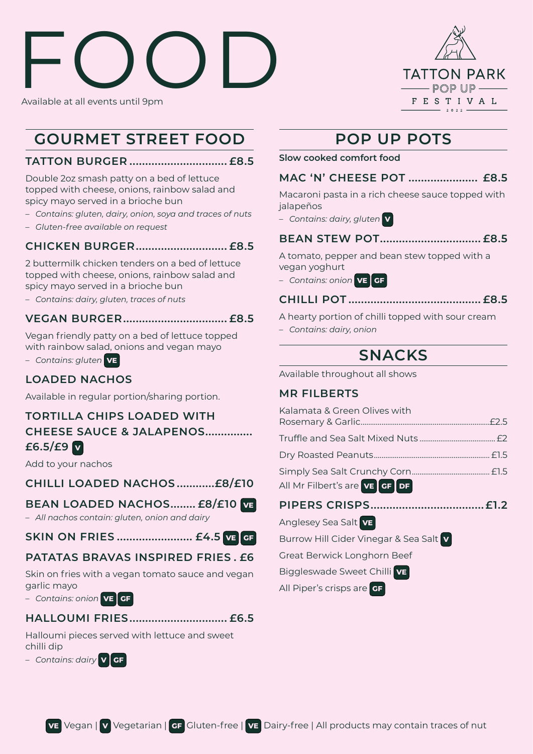# FOOD Available at all events until 9pm



# **GOURMET STREET FOOD**

### **TATTON BURGER ............................... £8.5**

Double 2oz smash patty on a bed of lettuce topped with cheese, onions, rainbow salad and spicy mayo served in a brioche bun

- *Contains: gluten, dairy, onion, soya and traces of nuts*
- *Gluten-free available on request*

## **CHICKEN BURGER............................. £8.5**

2 buttermilk chicken tenders on a bed of lettuce topped with cheese, onions, rainbow salad and spicy mayo served in a brioche bun

– *Contains: dairy, gluten, traces of nuts* 

#### **VEGAN BURGER................................. £8.5**

Vegan friendly patty on a bed of lettuce topped with rainbow salad, onions and vegan mayo

– *Contains: gluten* **VE**

# **LOADED NACHOS**

Available in regular portion/sharing portion.

# **TORTILLA CHIPS LOADED WITH CHEESE SAUCE & JALAPENOS............... £6.5/£9 <sup>V</sup>**

Add to your nachos

#### **CHILLI LOADED NACHOS ............£8/£10**

#### **BEAN LOADED NACHOS........ £8/£10 VE**

– *All nachos contain: gluten, onion and dairy*

#### **SKIN ON FRIES ........................ £4.5 VE****GF**

#### **PATATAS BRAVAS INSPIRED FRIES . £6**

Skin on fries with a vegan tomato sauce and vegan garlic mayo

– *Contains: onion* **VE****GF**

## **HALLOUMI FRIES............................... £6.5**

Halloumi pieces served with lettuce and sweet chilli dip

– *Contains: dairy* **V****GF**

# **POP UP POTS**

**Slow cooked comfort food** 

## **MAC 'N' CHEESE POT ...................... £8.5**

Macaroni pasta in a rich cheese sauce topped with jalapeños

– *Contains: dairy, gluten* **V**

#### **BEAN STEW POT................................ £8.5**

A tomato, pepper and bean stew topped with a vegan yoghurt

– *Contains: onion* **VE****GF**

#### **CHILLI POT .......................................... £8.5**

A hearty portion of chilli topped with sour cream – *Contains: dairy, onion*

# **SNACKS**

Available throughout all shows

#### **MR FILBERTS**

| Kalamata & Green Olives with         |  |
|--------------------------------------|--|
|                                      |  |
|                                      |  |
| All Mr Filbert's are <b>VE GF DF</b> |  |
|                                      |  |
| Anglesey Sea Salt VE                 |  |

Burrow Hill Cider Vinegar & Sea Salt **V**

Great Berwick Longhorn Beef

Biggleswade Sweet Chilli **VE**

All Piper's crisps are **GF**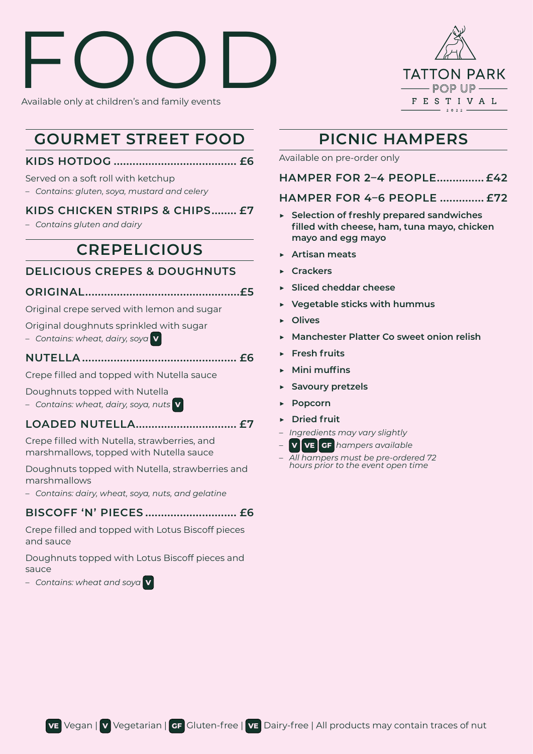# ROOD Available only at children's and family events



# **GOURMET STREET FOOD**

#### **KIDS HOTDOG ....................................... £6**

#### Served on a soft roll with ketchup

– *Contains: gluten, soya, mustard and celery* 

#### **KIDS CHICKEN STRIPS & CHIPS........ £7**

– *Contains gluten and dairy* 

# **CREPELICIOUS**

## **DELICIOUS CREPES & DOUGHNUTS**

#### **ORIGINAL.................................................£5**

Original crepe served with lemon and sugar

Original doughnuts sprinkled with sugar

– *Contains: wheat, dairy, soya* **V**

#### **NUTELLA ................................................. £6**

Crepe filled and topped with Nutella sauce

- Doughnuts topped with Nutella
- *Contains: wheat, dairy, soya, nuts* **V**

#### **LOADED NUTELLA................................ £7**

Crepe filled with Nutella, strawberries, and marshmallows, topped with Nutella sauce

Doughnuts topped with Nutella, strawberries and marshmallows

– *Contains: dairy, wheat, soya, nuts, and gelatine* 

#### **BISCOFF 'N' PIECES ............................. £6**

Crepe filled and topped with Lotus Biscoff pieces and sauce

Doughnuts topped with Lotus Biscoff pieces and sauce

– *Contains: wheat and soya* **V**

# **PICNIC HAMPERS**

Available on pre-order only

**HAMPER FOR 2–4 PEOPLE............... £42**

## **HAMPER FOR 4–6 PEOPLE .............. £72**

- ▶ **Selection of freshly prepared sandwiches filled with cheese, ham, tuna mayo, chicken mayo and egg mayo**
- ▶ **Artisan meats**
- ▶ **Crackers**
- ▶ **Sliced cheddar cheese**
- ▶ **Vegetable sticks with hummus**
- ▶ **Olives**
- ▶ **Manchester Platter Co sweet onion relish**
- ▶ **Fresh fruits**
- ▶ **Mini muffins**
- ▶ **Savoury pretzels**
- ▶ **Popcorn**
- ▶ **Dried fruit**
- *Ingredients may vary slightly*
- **V****VE****GF** *hampers available*
- *All hampers must be pre-ordered 72 hours prior to the event open time*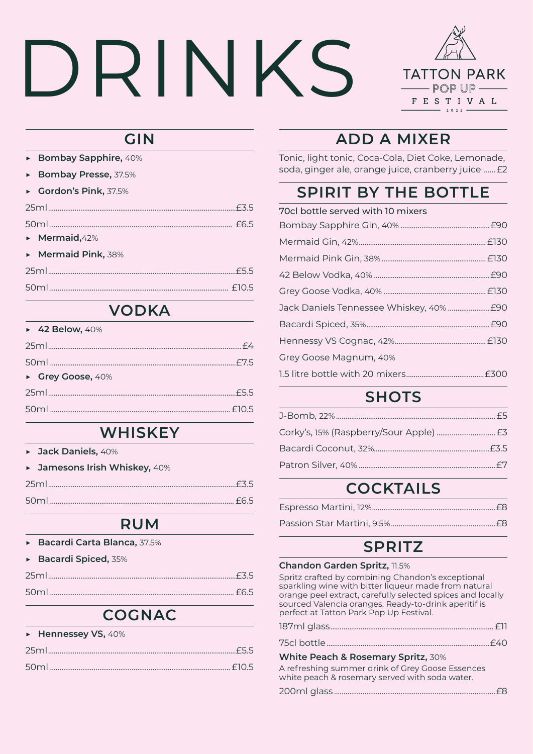# DRINKS



# **GIN**

- ▶ **Bombay Sapphire,** 40%
- ▶ **Bombay Presse,** 37.5%
- ▶ **Gordon's Pink,** 37.5%

| $\triangleright$ Mermaid, 42% |  |
|-------------------------------|--|
| Mermaid Pink, 38%             |  |
|                               |  |
| 50ml                          |  |
|                               |  |

# **VODKA**

| ▶ 42 Below, $40\%$ |  |
|--------------------|--|
|                    |  |
|                    |  |
| Grey Goose, 40%    |  |
| 25ml               |  |
| 50ml               |  |
|                    |  |

# **WHISKEY**

▶ **Jack Daniels,** 40%

| • Jamesons Irish Whiskey, 40% |  |
|-------------------------------|--|
|                               |  |
|                               |  |

# **RUM**

|  | Bacardi Carta Blanca, 37.5% |  |  |  |
|--|-----------------------------|--|--|--|
|--|-----------------------------|--|--|--|

| Bacardi Spiced, 35% |
|---------------------|
|                     |
|                     |

# **COGNAC**

| $\triangleright$ Hennessey VS, 40% |
|------------------------------------|
|                                    |
|                                    |

# **ADD A MIXER**

Tonic, light tonic, Coca-Cola, Diet Coke, Lemonade, soda, ginger ale, orange juice, cranberry juice ......£2

# **SPIRIT BY THE BOTTLE**

| 70cl bottle served with 10 mixers |  |
|-----------------------------------|--|
|                                   |  |
|                                   |  |
|                                   |  |
|                                   |  |
|                                   |  |
|                                   |  |
|                                   |  |
|                                   |  |
| Grey Goose Magnum, 40%            |  |
|                                   |  |

# **SHOTS**

# **COCKTAILS**

# **SPRITZ**

| Chandon Garden Spritz, 11.5%                                                                                                                                                                                                                                               |  |
|----------------------------------------------------------------------------------------------------------------------------------------------------------------------------------------------------------------------------------------------------------------------------|--|
| Spritz crafted by combining Chandon's exceptional<br>sparkling wine with bitter liqueur made from natural<br>orange peel extract, carefully selected spices and locally<br>sourced Valencia oranges. Ready-to-drink aperitif is<br>perfect at Tatton Park Pop Up Festival. |  |
|                                                                                                                                                                                                                                                                            |  |
|                                                                                                                                                                                                                                                                            |  |
| White Peach & Rosemary Spritz, 30%                                                                                                                                                                                                                                         |  |
| A refreshing summer drink of Grey Goose Essences                                                                                                                                                                                                                           |  |

white peach & rosemary served with soda water. 200ml glass .....................................................................................£8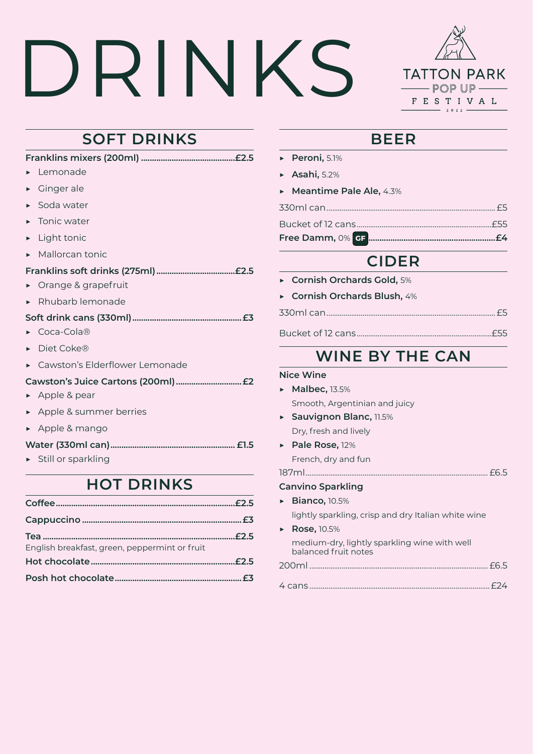# DRINKS



# **SOFT DRINKS**

| Lemonade                            |
|-------------------------------------|
| Ginger ale                          |
| Soda water<br>▶                     |
| Tonic water                         |
| Light tonic                         |
| Mallorcan tonic<br>ь                |
|                                     |
| Orange & grapefruit                 |
| Rhubarb lemonade                    |
|                                     |
| Coca-Cola®                          |
| Diet Coke®                          |
| Cawston's Elderflower Lemonade      |
|                                     |
| Apple & pear                        |
| Apple & summer berries              |
| ► Apple & mango                     |
|                                     |
| $\triangleright$ Still or sparkling |
| <b>HOT DRINKS</b>                   |
|                                     |
|                                     |

**Tea ........................................................................................£2.5**

**Hot chocolate..................................................................£2.5 Posh hot chocolate..........................................................£3**

English breakfast, green, peppermint or fruit

# **BEER**

- ▶ **Peroni,** 5.1%
- ▶ **Asahi,** 5.2%
- ▶ **Meantime Pale Ale,** 4.3%

| Bucket of 12 cans | FRE |
|-------------------|-----|

**Free Damm,** 0% **GF...........................................................£4**

# **CIDER**

▶ **Cornish Orchards Gold,** 5% ▶ **Cornish Orchards Blush,** 4% 330ml can.........................................................................................£5 Bucket of 12 cans.......................................................................£55

# **WINE BY THE CAN**

| <b>Nice Wine</b>                                                     |
|----------------------------------------------------------------------|
| $\triangleright$ Malbec, 13.5%                                       |
| Smooth, Argentinian and juicy                                        |
| Sauvignon Blanc, 11.5%                                               |
| Dry, fresh and lively                                                |
| $\triangleright$ Pale Rose, 12%                                      |
| French, dry and fun                                                  |
|                                                                      |
| <b>Canvino Sparkling</b>                                             |
| $\triangleright$ Bianco, 10.5%                                       |
| lightly sparkling, crisp and dry Italian white wine                  |
| $\triangleright$ Rose, 10.5%                                         |
| medium-dry, lightly sparkling wine with well<br>balanced fruit notes |
|                                                                      |
|                                                                      |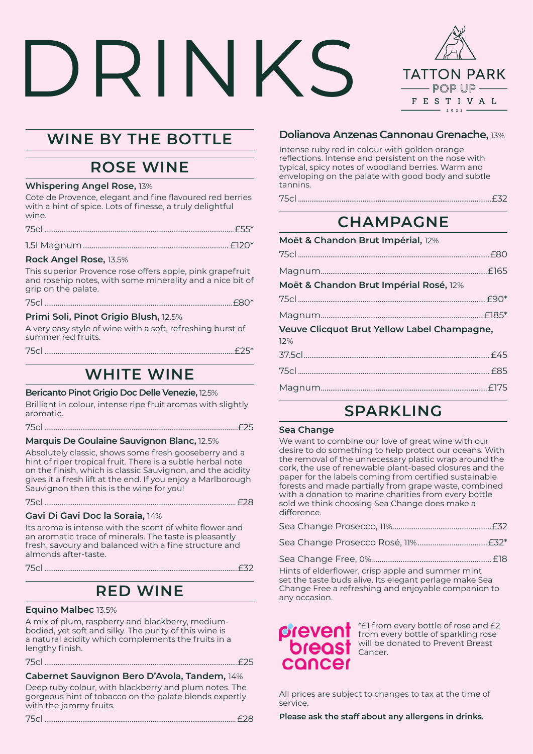# DRINI **TATTON PARK**  $-$  POP UP  $-\!\!\!-\!\!\!-\!\!\!-$ FESTIVAL  $\mathbf{r} \cdot \mathbf{r} \cdot \mathbf{r} \cdot \mathbf{r}$

# **WINE BY THE BOTTLE**

# **ROSE WINE**

#### **Whispering Angel Rose,** 13%

Cote de Provence, elegant and fine flavoured red berries with a hint of spice. Lots of finesse, a truly delightful wine.

|--|

|--|--|--|

#### **Rock Angel Rose,** 13.5%

This superior Provence rose offers apple, pink grapefruit and rosehip notes, with some minerality and a nice bit of grip on the palate.

| $\overline{H}$ |  |
|----------------|--|
|----------------|--|

#### **Primi Soli, Pinot Grigio Blush,** 12.5%

A very easy style of wine with a soft, refreshing burst of summer red fruits.

# **WHITE WINE**

#### **Bericanto Pinot Grigio Doc Delle Venezie,** 12.5%

Brilliant in colour, intense ripe fruit aromas with slightly aromatic.

75cl ......................................................................................................£25

**Marquis De Goulaine Sauvignon Blanc,** 12.5%

Absolutely classic, shows some fresh gooseberry and a hint of riper tropical fruit. There is a subtle herbal note on the finish, which is classic Sauvignon, and the acidity gives it a fresh lift at the end. If you enjoy a Marlborough Sauvignon then this is the wine for you!

75cl .....................................................................................................£28

#### **Gavi Di Gavi Doc la Soraia,** 14%

Its aroma is intense with the scent of white flower and an aromatic trace of minerals. The taste is pleasantly fresh, savoury and balanced with a fine structure and almonds after-taste.

75cl ......................................................................................................£32

# **RED WINE**

#### **Equino Malbec** 13.5%

A mix of plum, raspberry and blackberry, mediumbodied, yet soft and silky. The purity of this wine is a natural acidity which complements the fruits in a lengthy finish.

75cl ......................................................................................................£25

#### **Cabernet Sauvignon Bero D'Avola, Tandem,** 14%

Deep ruby colour, with blackberry and plum notes. The gorgeous hint of tobacco on the palate blends expertly with the jammy fruits.

75cl .....................................................................................................£28

#### **Dolianova Anzenas Cannonau Grenache,** 13%

Intense ruby red in colour with golden orange reflections. Intense and persistent on the nose with typical, spicy notes of woodland berries. Warm and enveloping on the palate with good body and subtle tannins.

75cl ......................................................................................................£32

# **CHAMPAGNE**

| Veuve Clicquot Brut Yellow Label Champagne, |  |  |
|---------------------------------------------|--|--|
|                                             |  |  |
|                                             |  |  |
|                                             |  |  |
|                                             |  |  |
|                                             |  |  |

# **SPARKLING**

#### **Sea Change**

We want to combine our love of great wine with our desire to do something to help protect our oceans. With the removal of the unnecessary plastic wrap around the cork, the use of renewable plant-based closures and the paper for the labels coming from certified sustainable forests and made partially from grape waste, combined with a donation to marine charities from every bottle sold we think choosing Sea Change does make a difference.

Sea Change Free, 0%...............................................................£18

Hints of elderflower, crisp apple and summer mint set the taste buds alive. Its elegant perlage make Sea Change Free a refreshing and enjoyable companion to any occasion.

# concer

\*£1 from every bottle of rose and £2 from every bottle of sparkling rose will be donated to Prevent Breast Cancer.

All prices are subject to changes to tax at the time of service.

**Please ask the staff about any allergens in drinks.**